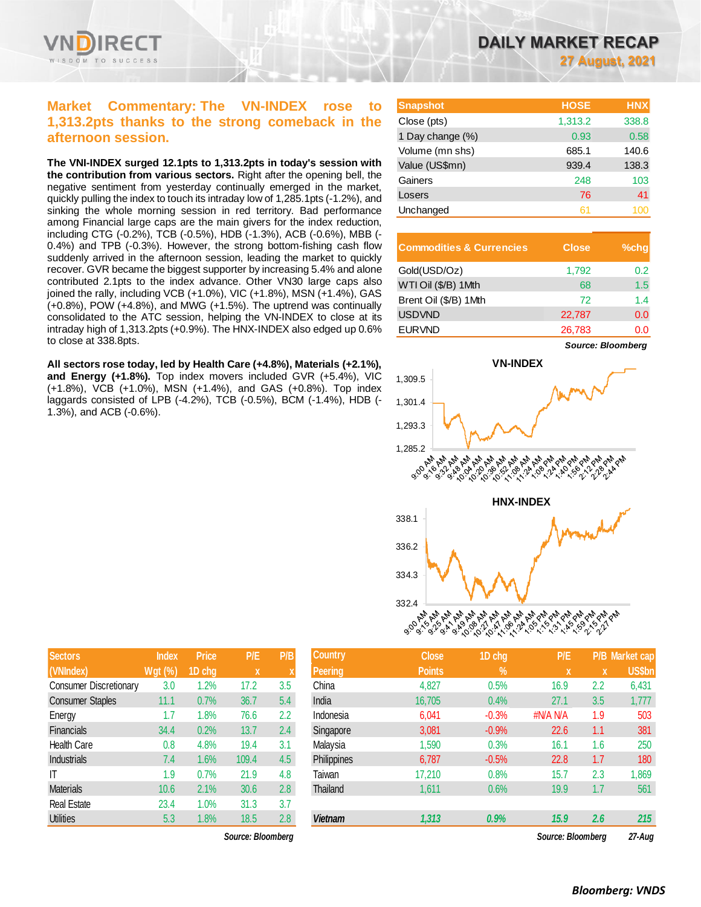

# **Market Commentary: The VN-INDEX rose to 1,313.2pts thanks to the strong comeback in the afternoon session.**

**The VNI-INDEX surged 12.1pts to 1,313.2pts in today's session with the contribution from various sectors.** Right after the opening bell, the negative sentiment from yesterday continually emerged in the market, quickly pulling the index to touch its intraday low of 1,285.1pts (-1.2%), and sinking the whole morning session in red territory. Bad performance among Financial large caps are the main givers for the index reduction, including CTG (-0.2%), TCB (-0.5%), HDB (-1.3%), ACB (-0.6%), MBB (- 0.4%) and TPB (-0.3%). However, the strong bottom-fishing cash flow suddenly arrived in the afternoon session, leading the market to quickly recover. GVR became the biggest supporter by increasing 5.4% and alone contributed 2.1pts to the index advance. Other VN30 large caps also joined the rally, including VCB (+1.0%), VIC (+1.8%), MSN (+1.4%), GAS (+0.8%), POW (+4.8%), and MWG (+1.5%). The uptrend was continually consolidated to the ATC session, helping the VN-INDEX to close at its intraday high of 1,313.2pts (+0.9%). The HNX-INDEX also edged up 0.6% to close at 338.8pts.

**All sectors rose today, led by Health Care (+4.8%), Materials (+2.1%), and Energy (+1.8%).** Top index movers included GVR (+5.4%), VIC (+1.8%), VCB (+1.0%), MSN (+1.4%), and GAS (+0.8%). Top index laggards consisted of LPB (-4.2%), TCB (-0.5%), BCM (-1.4%), HDB (- 1.3%), and ACB (-0.6%).

| <b>Snapshot</b>  | <b>HOSE</b> | <b>HNX</b> |
|------------------|-------------|------------|
| Close (pts)      | 1,313.2     | 338.8      |
| 1 Day change (%) | 0.93        | 0.58       |
| Volume (mn shs)  | 685.1       | 140.6      |
| Value (US\$mn)   | 939.4       | 138.3      |
| Gainers          | 248         | 103        |
| Losers           | 76          | 41         |
| Unchanged        | 61          |            |

| <b>Commodities &amp; Currencies</b> | <b>Close</b> | $%$ chq |
|-------------------------------------|--------------|---------|
| Gold(USD/Oz)                        | 1,792        | 0.2     |
| WTI Oil (\$/B) 1Mth                 | 68           | 1.5     |
| Brent Oil (\$/B) 1Mth               | 72           | 14      |
| <b>USDVND</b>                       | 22,787       | 0.0     |
| <b>EURVND</b>                       | 26,783       | ი ი     |



| <b>Sectors</b>                | <b>Index</b> | <b>Price</b> | P/E   | P/B |
|-------------------------------|--------------|--------------|-------|-----|
| (VNIndex)                     | $Wgt($ %)    | 1D chg       | X     | X   |
| <b>Consumer Discretionary</b> | 3.0          | 1.2%         | 17.2  | 3.5 |
| <b>Consumer Staples</b>       | 11.1         | 0.7%         | 36.7  | 5.4 |
| Energy                        | 1.7          | 1.8%         | 76.6  | 2.2 |
| Financials                    | 34.4         | 0.2%         | 13.7  | 2.4 |
| <b>Health Care</b>            | 0.8          | 4.8%         | 19.4  | 3.1 |
| <b>Industrials</b>            | 7.4          | 1.6%         | 109.4 | 4.5 |
| IT                            | 1.9          | 0.7%         | 21.9  | 4.8 |
| <b>Materials</b>              | 10.6         | 2.1%         | 30.6  | 2.8 |
| <b>Real Estate</b>            | 23.4         | 1.0%         | 31.3  | 3.7 |
| <b>Utilities</b>              | 5.3          | 1.8%         | 18.5  | 2.8 |

| <b>Sectors</b>          | <b>Index</b>   | <b>Price</b> | P/E               | P/B           | <b>Country</b> | <b>Close</b>  | 1D chg        | P/E               |     | P/B Market cap |
|-------------------------|----------------|--------------|-------------------|---------------|----------------|---------------|---------------|-------------------|-----|----------------|
| (VNIndex)               | <b>Wgt (%)</b> | 1D chg       | X                 |               | <b>Peering</b> | <b>Points</b> | $\frac{9}{6}$ | X                 | X   | <b>US\$bn</b>  |
| Consumer Discretionary  | 3.0            | 1.2%         | 17.2              | 3.5           | China          | 4,827         | 0.5%          | 16.9              | 2.2 | 6,431          |
| <b>Consumer Staples</b> | 11.1           | 0.7%         | 36.7              | 5.4           | India          | 16,705        | 0.4%          | 27.1              | 3.5 | 1,777          |
| Energy                  | 1.7            | 1.8%         | 76.6              | 2.2           | Indonesia      | 6,041         | $-0.3%$       | #N/A N/A          | 1.9 | 503            |
| Financials              | 34.4           | 0.2%         | 13.7              | $2.4^{\circ}$ | Singapore      | 3,081         | $-0.9%$       | 22.6              | 1.1 | 381            |
| Health Care             | 0.8            | 4.8%         | 19.4              | 3.1           | Malaysia       | 1,590         | 0.3%          | 16.1              | 1.6 | 250            |
| Industrials             | 7.4            | $1.6\%$      | 109.4             | 4.5           | Philippines    | 6.787         | $-0.5%$       | 22.8              | 1.7 | 180            |
| IT                      | 1.9            | 0.7%         | 21.9              | 4.8           | Taiwan         | 17,210        | 0.8%          | 15.7              | 2.3 | 1,869          |
| <b>Materials</b>        | 10.6           | 2.1%         | 30.6              | 2.8           | Thailand       | 1,611         | 0.6%          | 19.9              | 1.7 | 561            |
| <b>Real Estate</b>      | 23.4           | 1.0%         | 31.3              | 3.7           |                |               |               |                   |     |                |
| Utilities               | 5.3            | 1.8%         | 18.5              | 2.8           | <b>Vietnam</b> | 1,313         | 0.9%          | 15.9              | 2.6 | 215            |
|                         |                |              | Source: Bloombera |               |                |               |               | Source: Bloomberg |     | 27-Aua         |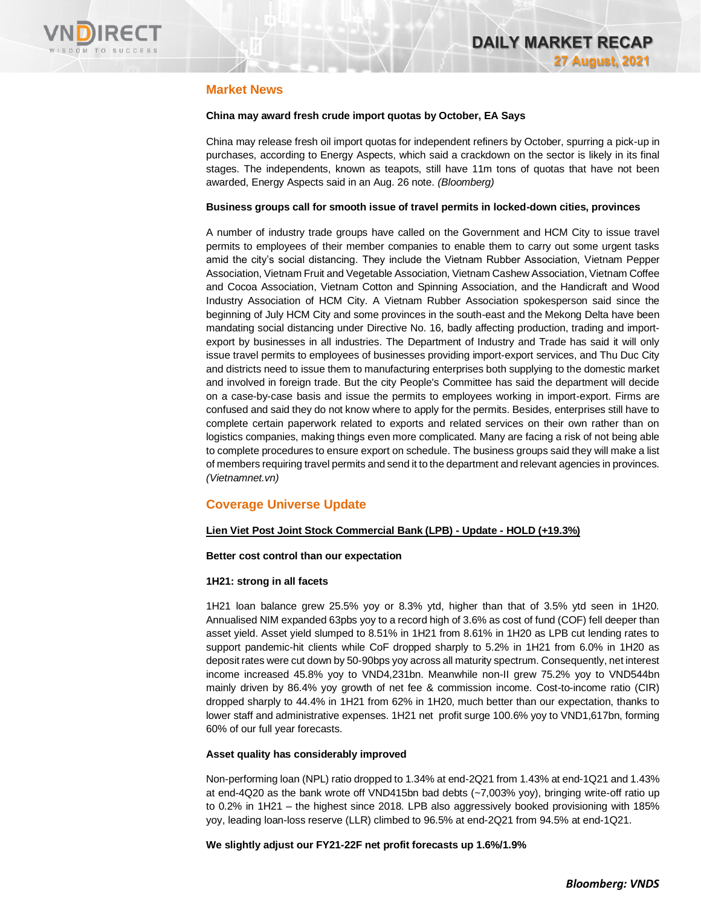

# **Market News**

# **China may award fresh crude import quotas by October, EA Says**

China may release fresh oil import quotas for independent refiners by October, spurring a pick-up in purchases, according to Energy Aspects, which said a crackdown on the sector is likely in its final stages. The independents, known as teapots, still have 11m tons of quotas that have not been awarded, Energy Aspects said in an Aug. 26 note. *(Bloomberg)* 

### **Business groups call for smooth issue of travel permits in locked-down cities, provinces**

A number of industry trade groups have called on the Government and HCM City to issue travel permits to employees of their member companies to enable them to carry out some urgent tasks amid the city's social distancing. They include the Vietnam Rubber Association, Vietnam Pepper Association, Vietnam Fruit and Vegetable Association, Vietnam Cashew Association, Vietnam Coffee and Cocoa Association, Vietnam Cotton and Spinning Association, and the Handicraft and Wood Industry Association of HCM City. A Vietnam Rubber Association spokesperson said since the beginning of July HCM City and some provinces in the south-east and the Mekong Delta have been mandating social distancing under Directive No. 16, badly affecting production, trading and importexport by businesses in all industries. The Department of Industry and Trade has said it will only issue travel permits to employees of businesses providing import-export services, and Thu Duc City and districts need to issue them to manufacturing enterprises both supplying to the domestic market and involved in foreign trade. But the city People's Committee has said the department will decide on a case-by-case basis and issue the permits to employees working in import-export. Firms are confused and said they do not know where to apply for the permits. Besides, enterprises still have to complete certain paperwork related to exports and related services on their own rather than on logistics companies, making things even more complicated. Many are facing a risk of not being able to complete procedures to ensure export on schedule. The business groups said they will make a list of members requiring travel permits and send it to the department and relevant agencies in provinces. *(Vietnamnet.vn)*

# **Coverage Universe Update**

# **Lien Viet Post Joint Stock Commercial Bank (LPB) - Update - HOLD (+19.3%)**

# **Better cost control than our expectation**

# **1H21: strong in all facets**

1H21 loan balance grew 25.5% yoy or 8.3% ytd, higher than that of 3.5% ytd seen in 1H20. Annualised NIM expanded 63pbs yoy to a record high of 3.6% as cost of fund (COF) fell deeper than asset yield. Asset yield slumped to 8.51% in 1H21 from 8.61% in 1H20 as LPB cut lending rates to support pandemic-hit clients while CoF dropped sharply to 5.2% in 1H21 from 6.0% in 1H20 as deposit rates were cut down by 50-90bps yoy across all maturity spectrum. Consequently, net interest income increased 45.8% yoy to VND4,231bn. Meanwhile non-II grew 75.2% yoy to VND544bn mainly driven by 86.4% yoy growth of net fee & commission income. Cost-to-income ratio (CIR) dropped sharply to 44.4% in 1H21 from 62% in 1H20, much better than our expectation, thanks to lower staff and administrative expenses. 1H21 net profit surge 100.6% yoy to VND1,617bn, forming 60% of our full year forecasts.

# **Asset quality has considerably improved**

Non-performing loan (NPL) ratio dropped to 1.34% at end-2Q21 from 1.43% at end-1Q21 and 1.43% at end-4Q20 as the bank wrote off VND415bn bad debts (~7,003% yoy), bringing write-off ratio up to 0.2% in 1H21 – the highest since 2018. LPB also aggressively booked provisioning with 185% yoy, leading loan-loss reserve (LLR) climbed to 96.5% at end-2Q21 from 94.5% at end-1Q21.

**We slightly adjust our FY21-22F net profit forecasts up 1.6%/1.9%**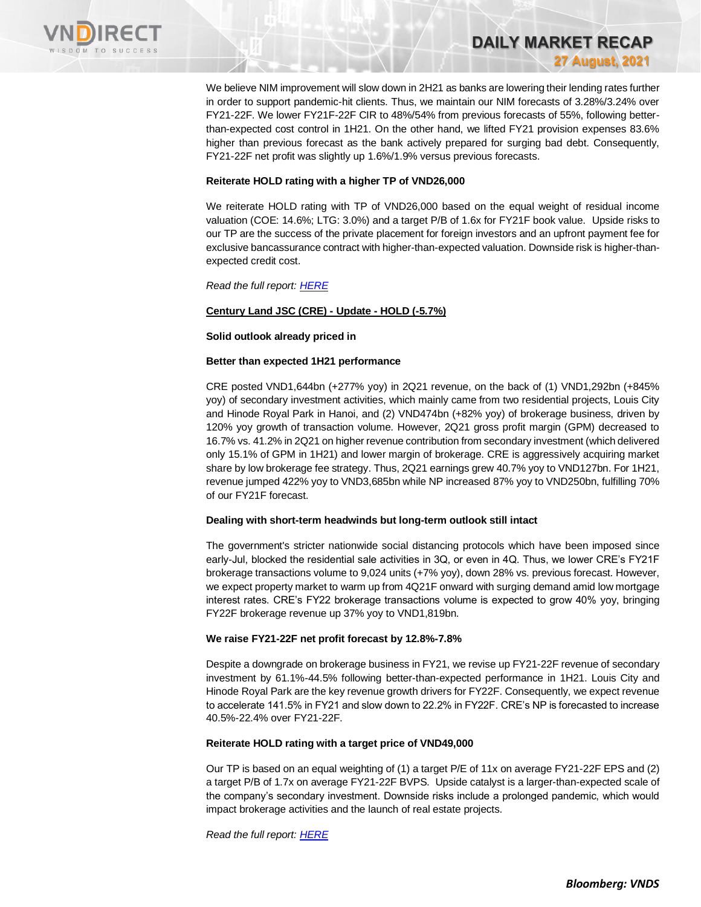

We believe NIM improvement will slow down in 2H21 as banks are lowering their lending rates further in order to support pandemic-hit clients. Thus, we maintain our NIM forecasts of 3.28%/3.24% over FY21-22F. We lower FY21F-22F CIR to 48%/54% from previous forecasts of 55%, following betterthan-expected cost control in 1H21. On the other hand, we lifted FY21 provision expenses 83.6% higher than previous forecast as the bank actively prepared for surging bad debt. Consequently, FY21-22F net profit was slightly up 1.6%/1.9% versus previous forecasts.

**DAILY MARKET RECAP** 

**27 August, 2021**

### **Reiterate HOLD rating with a higher TP of VND26,000**

We reiterate HOLD rating with TP of VND26,000 based on the equal weight of residual income valuation (COE: 14.6%; LTG: 3.0%) and a target P/B of 1.6x for FY21F book value. Upside risks to our TP are the success of the private placement for foreign investors and an upfront payment fee for exclusive bancassurance contract with higher-than-expected valuation. Downside risk is higher-thanexpected credit cost.

*Read the full report[: HERE](https://nhanha-public-api.vndirect.com.vn/click/OGE0ODlmZDA3ODBmMjMzZDAxNzgwZmU1YWI2ZTAwMDU=/Yzk0YjAxYjY3MjdiNDFmYWFjYTI4MzZhY2MzMjQ0MWE=/c94b01b6727b41faaca2836acc32441a-LPB_Update_20210826.pdf/cmVzZWFyY2hAdm5kaXJlY3QuY29tLnZu/MzQ4NjE=)*

# **Century Land JSC (CRE) - Update - HOLD (-5.7%)**

#### **Solid outlook already priced in**

#### **Better than expected 1H21 performance**

CRE posted VND1,644bn (+277% yoy) in 2Q21 revenue, on the back of (1) VND1,292bn (+845% yoy) of secondary investment activities, which mainly came from two residential projects, Louis City and Hinode Royal Park in Hanoi, and (2) VND474bn (+82% yoy) of brokerage business, driven by 120% yoy growth of transaction volume. However, 2Q21 gross profit margin (GPM) decreased to 16.7% vs. 41.2% in 2Q21 on higher revenue contribution from secondary investment (which delivered only 15.1% of GPM in 1H21) and lower margin of brokerage. CRE is aggressively acquiring market share by low brokerage fee strategy. Thus, 2Q21 earnings grew 40.7% yoy to VND127bn. For 1H21, revenue jumped 422% yoy to VND3,685bn while NP increased 87% yoy to VND250bn, fulfilling 70% of our FY21F forecast.

# **Dealing with short-term headwinds but long-term outlook still intact**

The government's stricter nationwide social distancing protocols which have been imposed since early-Jul, blocked the residential sale activities in 3Q, or even in 4Q. Thus, we lower CRE's FY21F brokerage transactions volume to 9,024 units (+7% yoy), down 28% vs. previous forecast. However, we expect property market to warm up from 4Q21F onward with surging demand amid low mortgage interest rates. CRE's FY22 brokerage transactions volume is expected to grow 40% yoy, bringing FY22F brokerage revenue up 37% yoy to VND1,819bn.

# **We raise FY21-22F net profit forecast by 12.8%-7.8%**

Despite a downgrade on brokerage business in FY21, we revise up FY21-22F revenue of secondary investment by 61.1%-44.5% following better-than-expected performance in 1H21. Louis City and Hinode Royal Park are the key revenue growth drivers for FY22F. Consequently, we expect revenue to accelerate 141.5% in FY21 and slow down to 22.2% in FY22F. CRE's NP is forecasted to increase 40.5%-22.4% over FY21-22F.

# **Reiterate HOLD rating with a target price of VND49,000**

Our TP is based on an equal weighting of (1) a target P/E of 11x on average FY21-22F EPS and (2) a target P/B of 1.7x on average FY21-22F BVPS. Upside catalyst is a larger-than-expected scale of the company's secondary investment. Downside risks include a prolonged pandemic, which would impact brokerage activities and the launch of real estate projects.

*Read the full report[: HERE](https://nhanha-public-api.vndirect.com.vn/click/OGE0ODlmZDA3MDFjZjM0OTAxNzAxZWQ4OTRkZjAwMDk=/NjE1Y2ZlOTNhZDJiNDM2NjkyMTFjNzEyOTM5YzdhYTE=/615cfe93ad2b43669211c712939c7aa1-CRE_Update_20210827.pdf/cmVzZWFyY2hAdm5kaXJlY3QuY29tLnZu/MzQ4Nzc=)*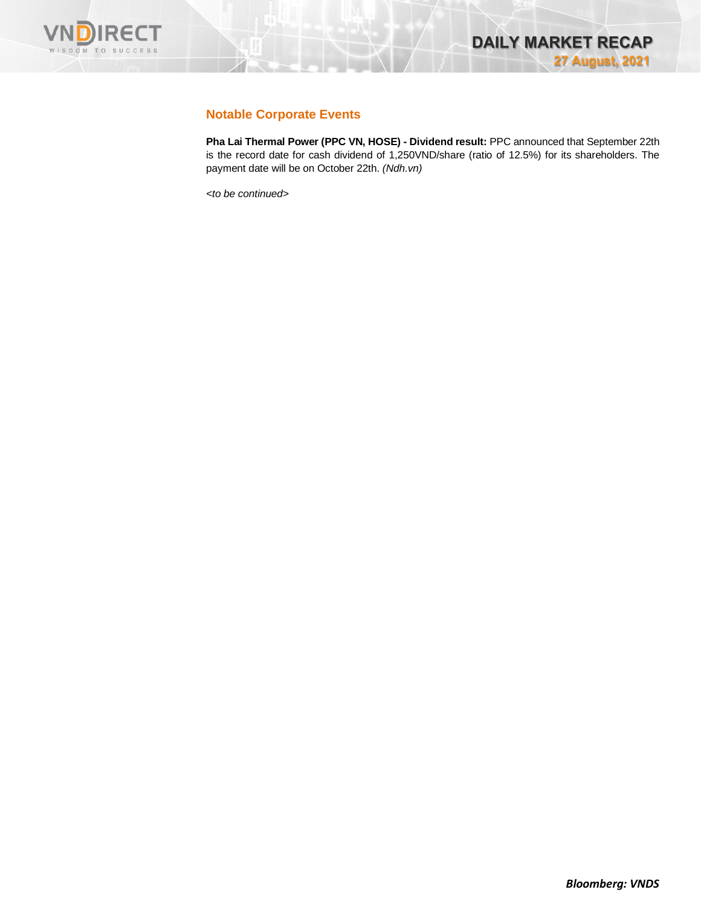

# **Notable Corporate Events**

**Pha Lai Thermal Power (PPC VN, HOSE) - Dividend result:** PPC announced that September 22th is the record date for cash dividend of 1,250VND/share (ratio of 12.5%) for its shareholders. The payment date will be on October 22th. *(Ndh.vn)*

*<to be continued>*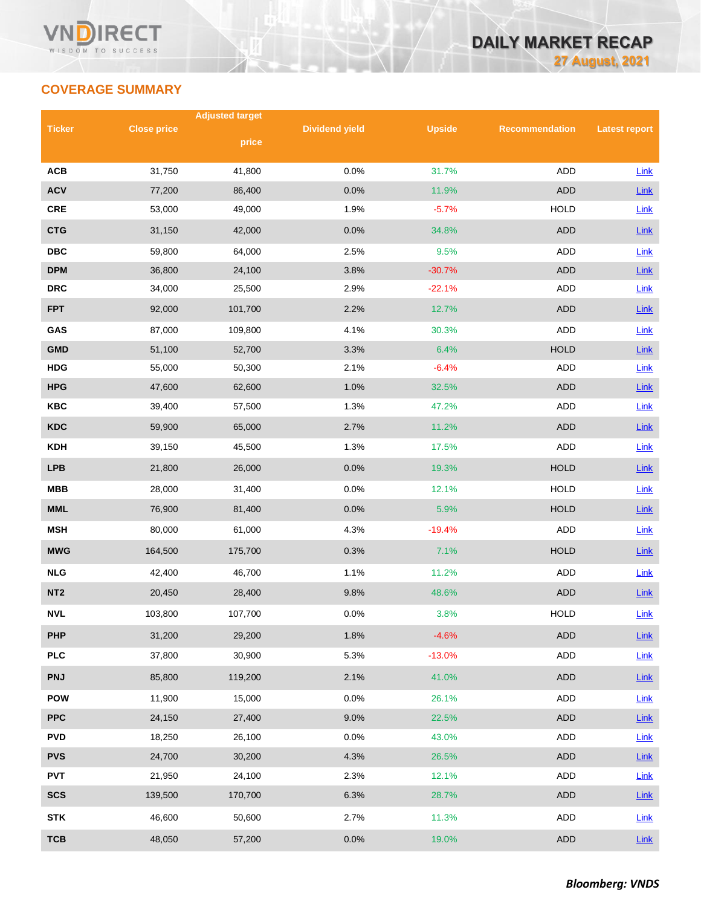# **COVERAGE SUMMARY**

|                 |                    | <b>Adjusted target</b> |                       |               |                       |                      |
|-----------------|--------------------|------------------------|-----------------------|---------------|-----------------------|----------------------|
| <b>Ticker</b>   | <b>Close price</b> | price                  | <b>Dividend yield</b> | <b>Upside</b> | <b>Recommendation</b> | <b>Latest report</b> |
|                 |                    |                        |                       |               |                       |                      |
| <b>ACB</b>      | 31,750             | 41,800                 | 0.0%                  | 31.7%         | ADD                   | Link                 |
| <b>ACV</b>      | 77,200             | 86,400                 | 0.0%                  | 11.9%         | <b>ADD</b>            | Link                 |
| CRE             | 53,000             | 49,000                 | 1.9%                  | $-5.7%$       | <b>HOLD</b>           | Link                 |
| <b>CTG</b>      | 31,150             | 42,000                 | 0.0%                  | 34.8%         | <b>ADD</b>            | Link                 |
| <b>DBC</b>      | 59,800             | 64,000                 | 2.5%                  | 9.5%          | ADD                   | Link                 |
| <b>DPM</b>      | 36,800             | 24,100                 | 3.8%                  | $-30.7%$      | <b>ADD</b>            | Link                 |
| <b>DRC</b>      | 34,000             | 25,500                 | 2.9%                  | $-22.1%$      | ADD                   | Link                 |
| <b>FPT</b>      | 92,000             | 101,700                | 2.2%                  | 12.7%         | <b>ADD</b>            | Link                 |
| GAS             | 87,000             | 109,800                | 4.1%                  | 30.3%         | <b>ADD</b>            | Link                 |
| <b>GMD</b>      | 51,100             | 52,700                 | 3.3%                  | 6.4%          | <b>HOLD</b>           | Link                 |
| <b>HDG</b>      | 55,000             | 50,300                 | 2.1%                  | $-6.4%$       | ADD                   | Link                 |
| <b>HPG</b>      | 47,600             | 62,600                 | 1.0%                  | 32.5%         | <b>ADD</b>            | Link                 |
| <b>KBC</b>      | 39,400             | 57,500                 | 1.3%                  | 47.2%         | ADD                   | <b>Link</b>          |
| <b>KDC</b>      | 59,900             | 65,000                 | 2.7%                  | 11.2%         | <b>ADD</b>            | Link                 |
| <b>KDH</b>      | 39,150             | 45,500                 | 1.3%                  | 17.5%         | <b>ADD</b>            | <b>Link</b>          |
| <b>LPB</b>      | 21,800             | 26,000                 | 0.0%                  | 19.3%         | <b>HOLD</b>           | Link                 |
| <b>MBB</b>      | 28,000             | 31,400                 | 0.0%                  | 12.1%         | <b>HOLD</b>           | <b>Link</b>          |
| <b>MML</b>      | 76,900             | 81,400                 | 0.0%                  | 5.9%          | <b>HOLD</b>           | Link                 |
| <b>MSH</b>      | 80,000             | 61,000                 | 4.3%                  | $-19.4%$      | <b>ADD</b>            | Link                 |
| <b>MWG</b>      | 164,500            | 175,700                | 0.3%                  | 7.1%          | <b>HOLD</b>           | <b>Link</b>          |
| <b>NLG</b>      | 42,400             | 46,700                 | 1.1%                  | 11.2%         | ADD                   | <b>Link</b>          |
| NT <sub>2</sub> | 20,450             | 28,400                 | 9.8%                  | 48.6%         | <b>ADD</b>            | Link                 |
| <b>NVL</b>      | 103,800            | 107,700                | 0.0%                  | 3.8%          | <b>HOLD</b>           | Link                 |
| <b>PHP</b>      | 31,200             | 29,200                 | 1.8%                  | $-4.6%$       | ADD                   | Link                 |
| <b>PLC</b>      | 37,800             | 30,900                 | 5.3%                  | $-13.0%$      | ADD                   | Link                 |
| <b>PNJ</b>      | 85,800             | 119,200                | 2.1%                  | 41.0%         | ADD                   | <b>Link</b>          |
| <b>POW</b>      | 11,900             | 15,000                 | 0.0%                  | 26.1%         | ADD                   | <b>Link</b>          |
| <b>PPC</b>      | 24,150             | 27,400                 | 9.0%                  | 22.5%         | ADD                   | Link                 |
| <b>PVD</b>      | 18,250             | 26,100                 | 0.0%                  | 43.0%         | ADD                   | <b>Link</b>          |
| <b>PVS</b>      | 24,700             | 30,200                 | 4.3%                  | 26.5%         | <b>ADD</b>            | Link                 |
| <b>PVT</b>      | 21,950             | 24,100                 | 2.3%                  | 12.1%         | ADD                   | Link                 |
| <b>SCS</b>      | 139,500            | 170,700                | 6.3%                  | 28.7%         | ADD                   | $Link$               |
| <b>STK</b>      | 46,600             | 50,600                 | 2.7%                  | 11.3%         | ADD                   | Link                 |
| <b>TCB</b>      | 48,050             | 57,200                 | 0.0%                  | 19.0%         | <b>ADD</b>            | Link                 |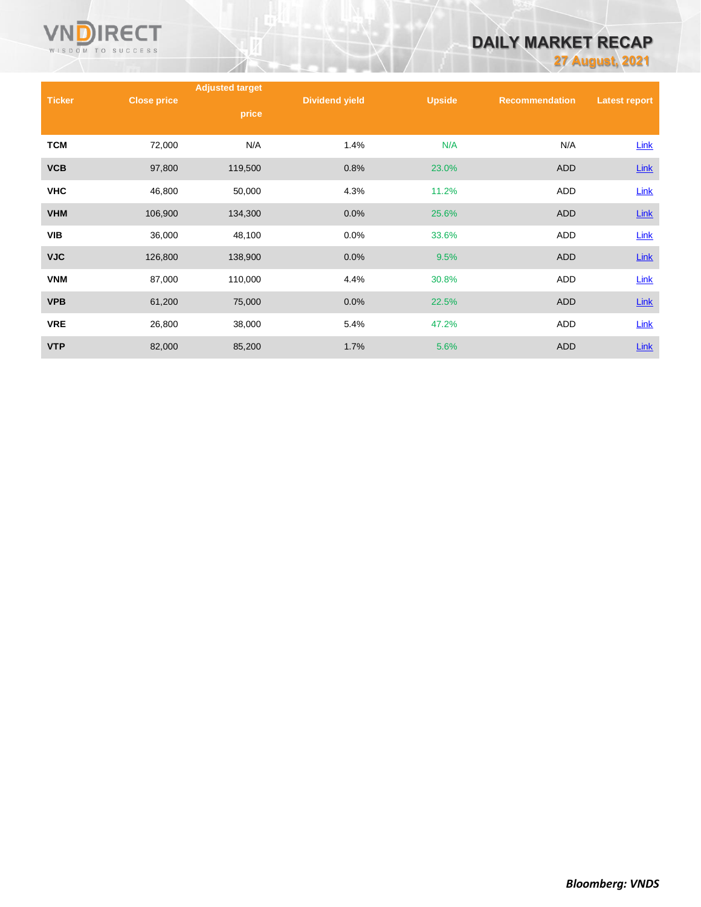

# **DAILY MARKET RECAP**

**27 August, 2021**

|               |                    | <b>Adjusted target</b> |                       |               |                       |                      |
|---------------|--------------------|------------------------|-----------------------|---------------|-----------------------|----------------------|
| <b>Ticker</b> | <b>Close price</b> | price                  | <b>Dividend yield</b> | <b>Upside</b> | <b>Recommendation</b> | <b>Latest report</b> |
| <b>TCM</b>    | 72,000             | N/A                    | 1.4%                  | N/A           | N/A                   | Link                 |
| <b>VCB</b>    | 97,800             | 119,500                | 0.8%                  | 23.0%         | <b>ADD</b>            | <b>Link</b>          |
| <b>VHC</b>    | 46,800             | 50,000                 | 4.3%                  | 11.2%         | ADD                   | Link                 |
| <b>VHM</b>    | 106,900            | 134,300                | 0.0%                  | 25.6%         | <b>ADD</b>            | <b>Link</b>          |
| <b>VIB</b>    | 36,000             | 48,100                 | 0.0%                  | 33.6%         | <b>ADD</b>            | Link                 |
| <b>VJC</b>    | 126,800            | 138,900                | 0.0%                  | 9.5%          | <b>ADD</b>            | Link                 |
| <b>VNM</b>    | 87,000             | 110,000                | 4.4%                  | 30.8%         | ADD                   | <b>Link</b>          |
| <b>VPB</b>    | 61,200             | 75,000                 | 0.0%                  | 22.5%         | <b>ADD</b>            | <b>Link</b>          |
| <b>VRE</b>    | 26,800             | 38,000                 | 5.4%                  | 47.2%         | ADD                   | Link                 |
| <b>VTP</b>    | 82,000             | 85,200                 | 1.7%                  | 5.6%          | <b>ADD</b>            | <b>Link</b>          |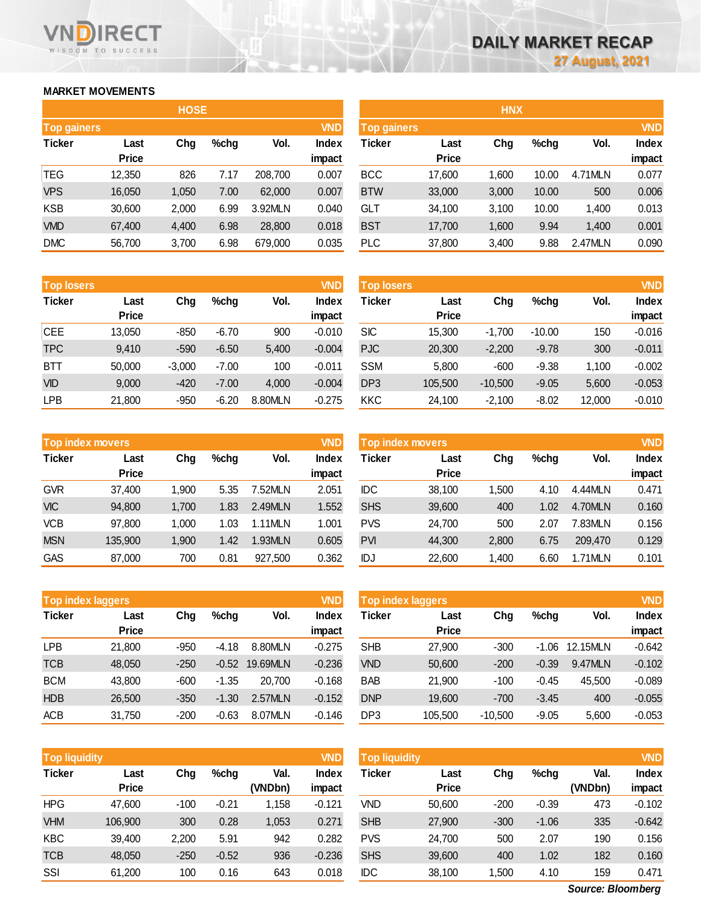# **MARKET MOVEMENTS**

| <b>HOSE</b>        |              |       |      |         |            |  |  |  |  |  |
|--------------------|--------------|-------|------|---------|------------|--|--|--|--|--|
| <b>Top gainers</b> |              |       |      |         | <b>VND</b> |  |  |  |  |  |
| <b>Ticker</b>      | Last         | Cha   | %chq | Vol.    | Index      |  |  |  |  |  |
|                    | <b>Price</b> |       |      |         | impact     |  |  |  |  |  |
| TEG                | 12,350       | 826   | 7.17 | 208,700 | 0.007      |  |  |  |  |  |
| <b>VPS</b>         | 16,050       | 1,050 | 7.00 | 62,000  | 0.007      |  |  |  |  |  |
| <b>KSB</b>         | 30,600       | 2,000 | 6.99 | 3.92MLN | 0.040      |  |  |  |  |  |
| <b>VMD</b>         | 67,400       | 4,400 | 6.98 | 28,800  | 0.018      |  |  |  |  |  |
| <b>DMC</b>         | 56,700       | 3,700 | 6.98 | 679,000 | 0.035      |  |  |  |  |  |

| <b>Top losers</b>     |              |          |         |         | <b>VND</b>   |
|-----------------------|--------------|----------|---------|---------|--------------|
| <b>Ticker</b><br>Last |              | Chg      | $%$ chg | Vol.    | <b>Index</b> |
|                       | <b>Price</b> |          |         |         | impact       |
| <b>CEE</b>            | 13,050       | -850     | $-6.70$ | 900     | $-0.010$     |
| <b>TPC</b>            | 9,410        | $-590$   | $-6.50$ | 5,400   | $-0.004$     |
| BTT                   | 50,000       | $-3,000$ | $-7.00$ | 100     | $-0.011$     |
| <b>VID</b>            | 9,000        | $-420$   | $-7.00$ | 4,000   | $-0.004$     |
| <b>LPB</b>            | 21,800       | -950     | $-6.20$ | 8.80MLN | $-0.275$     |

| <b>Top losers</b> |              |          |         |         | VND          | <b>Top losers</b> |              |           |          |        | VND          |
|-------------------|--------------|----------|---------|---------|--------------|-------------------|--------------|-----------|----------|--------|--------------|
| Ticker            | Last         | Chg      | $%$ chg | Vol.    | <b>Index</b> | Ticker            | Last         | Chg       | $%$ chg  | Vol.   | <b>Index</b> |
|                   | <b>Price</b> |          |         |         | impact       |                   | <b>Price</b> |           |          |        | impact       |
| CEE               | 13,050       | $-850$   | $-6.70$ | 900     | $-0.010$     | <b>SIC</b>        | 15,300       | $-1.700$  | $-10.00$ | 150    | $-0.016$     |
| <b>TPC</b>        | 9.410        | $-590$   | $-6.50$ | 5,400   | $-0.004$     | <b>PJC</b>        | 20,300       | $-2,200$  | $-9.78$  | 300    | $-0.011$     |
| <b>BTT</b>        | 50,000       | $-3,000$ | $-7.00$ | 100     | $-0.011$     | <b>SSM</b>        | 5,800        | $-600$    | $-9.38$  | 1,100  | $-0.002$     |
| <b>VID</b>        | 9,000        | $-420$   | $-7.00$ | 4,000   | $-0.004$     | DP <sub>3</sub>   | 105,500      | $-10,500$ | $-9.05$  | 5,600  | $-0.053$     |
| LPB               | 21,800       | $-950$   | $-6.20$ | 8.80MLN | $-0.275$     | <b>KKC</b>        | 24,100       | $-2,100$  | $-8.02$  | 12,000 | $-0.010$     |
|                   |              |          |         |         |              |                   |              |           |          |        |              |

|               | <b>VND</b><br><b>Top index movers</b> |       |         |         |              |  |  |  |  |  |  |
|---------------|---------------------------------------|-------|---------|---------|--------------|--|--|--|--|--|--|
| <b>Ticker</b> | Last                                  | Chg   | $%$ chg | Vol.    | <b>Index</b> |  |  |  |  |  |  |
|               | <b>Price</b>                          |       |         |         | impact       |  |  |  |  |  |  |
| <b>GVR</b>    | 37,400                                | 1,900 | 5.35    | 7.52MLN | 2.051        |  |  |  |  |  |  |
| <b>VIC</b>    | 94,800                                | 1,700 | 1.83    | 2.49MLN | 1.552        |  |  |  |  |  |  |
| <b>VCB</b>    | 97,800                                | 1,000 | 1.03    | 1.11MLN | 1.001        |  |  |  |  |  |  |
| <b>MSN</b>    | 135,900                               | 1,900 | 1.42    | 1.93MLN | 0.605        |  |  |  |  |  |  |
| GAS           | 87,000                                | 700   | 0.81    | 927,500 | 0.362        |  |  |  |  |  |  |

| <b>Top index movers</b> |       |         |         |              | <b>Top index movers</b> |              |       |         | <b>VND</b> |              |
|-------------------------|-------|---------|---------|--------------|-------------------------|--------------|-------|---------|------------|--------------|
| Last                    | Chg   | $%$ chg | Vol.    | <b>Index</b> | Ticker                  | Last         | Chg   | $%$ chg | Vol.       | <b>Index</b> |
| <b>Price</b>            |       |         |         | impact       |                         | <b>Price</b> |       |         |            | impact       |
| 37,400                  | 1.900 | 5.35    | 7.52MLN | 2.051        | <b>IDC</b>              | 38.100       | 1.500 | 4.10    | 4.44MLN    | 0.471        |
| 94,800                  | 1,700 | 1.83    | 2.49MLN | 1.552        | <b>SHS</b>              | 39,600       | 400   | 1.02    | 4.70MLN    | 0.160        |
| 97,800                  | 1.000 | 1.03    | 1.11MLN | 1.001        | <b>PVS</b>              | 24,700       | 500   | 2.07    | 7.83MLN    | 0.156        |
| 135,900                 | 1,900 | 1.42    | 1.93MLN | 0.605        | <b>PVI</b>              | 44,300       | 2,800 | 6.75    | 209,470    | 0.129        |
| 87,000                  | 700   | 0.81    | 927,500 | 0.362        | IDJ                     | 22,600       | 1,400 | 6.60    | 1.71MLN    | 0.101        |
|                         |       |         |         |              | <b>VND</b>              |              |       |         |            |              |

|               | <b>VND</b><br><b>Top index laggers</b> |        |         |          |              |  |  |  |  |  |  |
|---------------|----------------------------------------|--------|---------|----------|--------------|--|--|--|--|--|--|
| <b>Ticker</b> | Last                                   | Chg    | $%$ chg | Vol.     | <b>Index</b> |  |  |  |  |  |  |
|               | <b>Price</b>                           |        |         |          | impact       |  |  |  |  |  |  |
| LPB           | 21,800                                 | -950   | $-4.18$ | 8.80MLN  | $-0.275$     |  |  |  |  |  |  |
| <b>TCB</b>    | 48,050                                 | $-250$ | $-0.52$ | 19.69MLN | $-0.236$     |  |  |  |  |  |  |
| <b>BCM</b>    | 43,800                                 | $-600$ | $-1.35$ | 20.700   | $-0.168$     |  |  |  |  |  |  |
| <b>HDB</b>    | 26,500                                 | $-350$ | $-1.30$ | 2.57MLN  | $-0.152$     |  |  |  |  |  |  |
| <b>ACB</b>    | 31,750                                 | $-200$ | $-0.63$ | 8.07MLN  | $-0.146$     |  |  |  |  |  |  |

| Top index laggers |              |        |         |          | <b>VND</b>   | <b>VND</b><br>Top index laggers |              |           |         |          |              |
|-------------------|--------------|--------|---------|----------|--------------|---------------------------------|--------------|-----------|---------|----------|--------------|
| Ticker            | Last         | Chg    | $%$ chg | Vol.     | <b>Index</b> | Ticker                          | Last         | Chg       | $%$ chg | Vol.     | <b>Index</b> |
|                   | <b>Price</b> |        |         |          | impact       |                                 | <b>Price</b> |           |         |          | impact       |
| LPB               | 21.800       | $-950$ | $-4.18$ | 8.80MLN  | $-0.275$     | <b>SHB</b>                      | 27,900       | $-300$    | $-1.06$ | 12.15MLN | $-0.642$     |
| <b>TCB</b>        | 48,050       | $-250$ | $-0.52$ | 19.69MLN | $-0.236$     | <b>VND</b>                      | 50,600       | $-200$    | $-0.39$ | 9.47MLN  | $-0.102$     |
| <b>BCM</b>        | 43,800       | $-600$ | $-1.35$ | 20,700   | $-0.168$     | <b>BAB</b>                      | 21,900       | $-100$    | $-0.45$ | 45.500   | $-0.089$     |
| <b>HDB</b>        | 26,500       | $-350$ | $-1.30$ | 2.57MLN  | $-0.152$     | <b>DNP</b>                      | 19,600       | $-700$    | $-3.45$ | 400      | $-0.055$     |
| ACB               | 31,750       | $-200$ | $-0.63$ | 8.07MLN  | $-0.146$     | DP <sub>3</sub>                 | 105,500      | $-10.500$ | $-9.05$ | 5.600    | $-0.053$     |

| Top liquidity |                      |        |         |                 | <b>VND</b>             | <b>Top liquidity</b> |                      |        |         |                 |
|---------------|----------------------|--------|---------|-----------------|------------------------|----------------------|----------------------|--------|---------|-----------------|
| Ticker        | Last<br><b>Price</b> | Chg    | $%$ chg | Val.<br>(VNDbn) | <b>Index</b><br>impact | Ticker               | Last<br><b>Price</b> | Chg    | $%$ chg | Val.<br>(VNDbn) |
| HPG           | 47,600               | $-100$ | $-0.21$ | 1,158           | $-0.121$               | <b>VND</b>           | 50,600               | $-200$ | $-0.39$ | 473             |
| <b>VHM</b>    | 106,900              | 300    | 0.28    | 1,053           | 0.271                  | <b>SHB</b>           | 27,900               | $-300$ | $-1.06$ | 335             |
| <b>KBC</b>    | 39,400               | 2,200  | 5.91    | 942             | 0.282                  | <b>PVS</b>           | 24,700               | 500    | 2.07    | 190             |
| TCB           | 48,050               | $-250$ | $-0.52$ | 936             | $-0.236$               | <b>SHS</b>           | 39,600               | 400    | 1.02    | 182             |
| SSI           | 61,200               | 100    | 0.16    | 643             | 0.018                  | <b>IDC</b>           | 38,100               | ,500   | 4.10    | 159             |

**Source: Bloomberg** 

| <b>Top gainers</b> |              |       |      |         | VND          | <b>Top gainers</b> |              |       |         |         | <b>VND</b>   |
|--------------------|--------------|-------|------|---------|--------------|--------------------|--------------|-------|---------|---------|--------------|
| Ticker             | Last         | Chg   | %chg | Vol.    | <b>Index</b> | Ticker             | Last         | Chg   | $%$ chg | Vol.    | <b>Index</b> |
|                    | <b>Price</b> |       |      |         | impact       |                    | <b>Price</b> |       |         |         | impact       |
| TEG                | 12,350       | 826   | 7.17 | 208.700 | 0.007        | <b>BCC</b>         | 17,600       | 1.600 | 10.00   | 4.71MLN | 0.077        |
| <b>VPS</b>         | 16,050       | 1.050 | 7.00 | 62,000  | 0.007        | <b>BTW</b>         | 33,000       | 3,000 | 10.00   | 500     | 0.006        |
| KSB                | 30,600       | 2,000 | 6.99 | 3.92MLN | 0.040        | <b>GLT</b>         | 34,100       | 3.100 | 10.00   | 1.400   | 0.013        |
| <b>VMD</b>         | 67,400       | 4,400 | 6.98 | 28,800  | 0.018        | <b>BST</b>         | 17,700       | 1,600 | 9.94    | 1,400   | 0.001        |
| <b>DMC</b>         | 56,700       | 3,700 | 6.98 | 679,000 | 0.035        | <b>PLC</b>         | 37,800       | 3,400 | 9.88    | 2.47MLN | 0.090        |
|                    |              |       |      |         |              |                    |              |       |         |         |              |

**HNX**

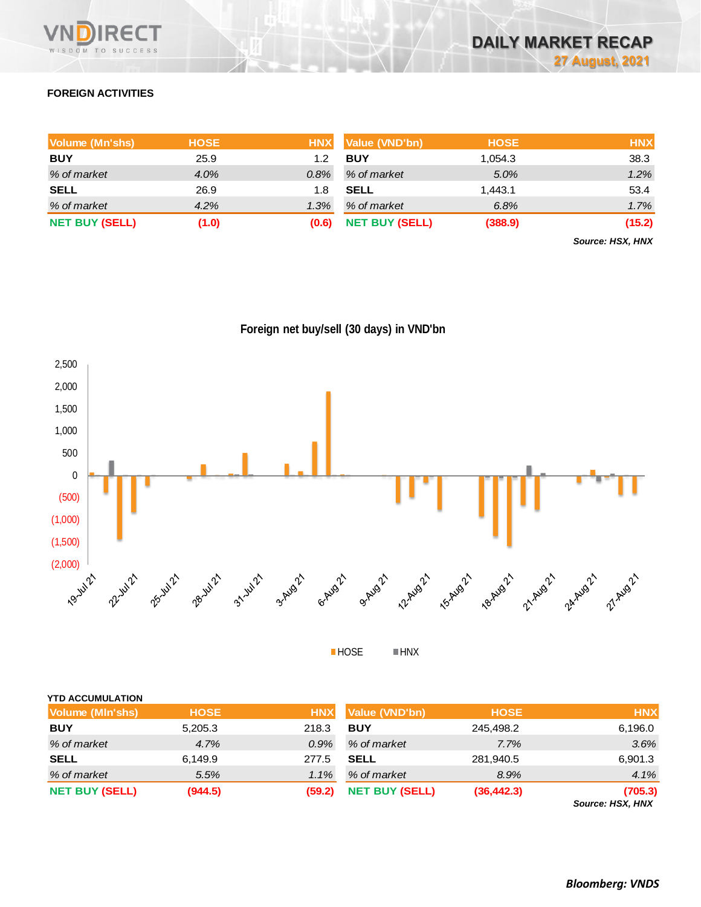

# **FOREIGN ACTIVITIES**

| Volume (Mn'shs)       | <b>HOSE</b> | <b>HNX</b> | Value (VND'bn)        | <b>HOSE</b> | <b>HNX</b> |
|-----------------------|-------------|------------|-----------------------|-------------|------------|
| <b>BUY</b>            | 25.9        | 1.2        | <b>BUY</b>            | 054.3. ا    | 38.3       |
| % of market           | $4.0\%$     | $0.8\%$    | % of market           | 5.0%        | 1.2%       |
| <b>SELL</b>           | 26.9        | 1.8        | <b>SELL</b>           | 1.443.1     | 53.4       |
| % of market           | 4.2%        | 1.3%       | % of market           | 6.8%        | 1.7%       |
| <b>NET BUY (SELL)</b> | (1.0)       | (0.6)      | <b>NET BUY (SELL)</b> | (388.9)     | (15.2)     |

*Source: HSX, HNX*





**HOSE HNX** 

| <b>NET BUY (SELL)</b>   | (944.5)     | (59.2)     | <b>NET BUY (SELL)</b> | (36, 442.3) | (705.3)<br>Source: HSX, HNX |
|-------------------------|-------------|------------|-----------------------|-------------|-----------------------------|
| % of market             | 5.5%        | 1.1%       | % of market           | 8.9%        | 4.1%                        |
| <b>SELL</b>             | 6,149.9     | 277.5      | <b>SELL</b>           | 281,940.5   | 6,901.3                     |
| % of market             | 4.7%        | $0.9\%$    | % of market           | 7.7%        | 3.6%                        |
| <b>BUY</b>              | 5,205.3     | 218.3      | <b>BUY</b>            | 245,498.2   | 6,196.0                     |
| Volume (MIn'shs)        | <b>HOSE</b> | <b>HNX</b> | Value (VND'bn)        | <b>HOSE</b> | <b>HNX</b>                  |
| <b>YTD ACCUMULATION</b> |             |            |                       |             |                             |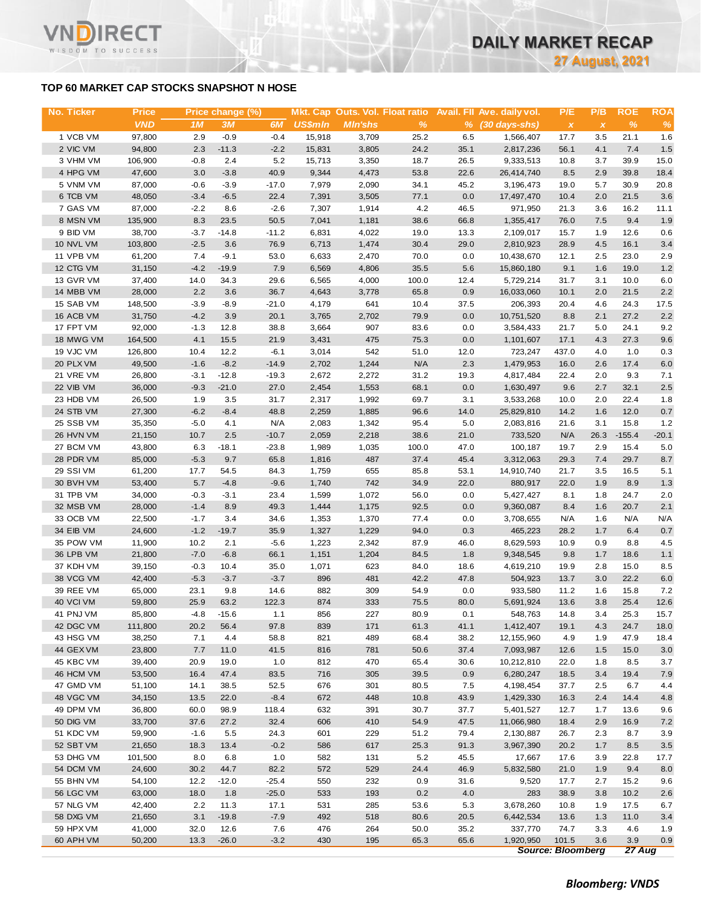# **TOP 60 MARKET CAP STOCKS SNAPSHOT N HOSE**

т

WISDOM TO SUCCESS

| No. Ticker | <b>Price</b> |        | Price change (%) |         |         |                |               |      | Mkt. Cap Outs. Vol. Float ratio Avail. Fll Ave. daily vol. | P/E                       | P/B                       | <b>ROE</b> | <b>ROA</b> |
|------------|--------------|--------|------------------|---------|---------|----------------|---------------|------|------------------------------------------------------------|---------------------------|---------------------------|------------|------------|
|            | <b>VND</b>   | 1M     | 3M               | 6M      | US\$min | <b>MIn'shs</b> | $\frac{9}{6}$ |      | $%$ (30 days-shs)                                          | $\boldsymbol{\mathsf{x}}$ | $\boldsymbol{\mathsf{x}}$ | $\%$       | $\%$       |
| 1 VCB VM   | 97,800       | 2.9    | $-0.9$           | $-0.4$  | 15,918  | 3,709          | 25.2          | 6.5  | 1,566,407                                                  | 17.7                      | 3.5                       | 21.1       | 1.6        |
| 2 VIC VM   | 94,800       | 2.3    | $-11.3$          | $-2.2$  | 15,831  | 3,805          | 24.2          | 35.1 | 2,817,236                                                  | 56.1                      | 4.1                       | 7.4        | 1.5        |
| 3 VHM VM   | 106,900      | $-0.8$ | 2.4              | 5.2     | 15,713  | 3,350          | 18.7          | 26.5 | 9,333,513                                                  | 10.8                      | 3.7                       | 39.9       | 15.0       |
| 4 HPG VM   | 47,600       | 3.0    | $-3.8$           | 40.9    | 9,344   | 4,473          | 53.8          | 22.6 | 26,414,740                                                 | 8.5                       | 2.9                       | 39.8       | 18.4       |
| 5 VNM VM   | 87,000       | $-0.6$ | $-3.9$           | $-17.0$ | 7,979   | 2,090          | 34.1          | 45.2 | 3,196,473                                                  | 19.0                      | 5.7                       | 30.9       | 20.8       |
| 6 TCB VM   | 48,050       | $-3.4$ | $-6.5$           | 22.4    | 7,391   | 3,505          | 77.1          | 0.0  | 17,497,470                                                 | 10.4                      | 2.0                       | 21.5       | 3.6        |
| 7 GAS VM   | 87,000       | $-2.2$ | 8.6              | $-2.6$  | 7,307   | 1,914          | 4.2           | 46.5 | 971,950                                                    | 21.3                      | 3.6                       | 16.2       | 11.1       |
| 8 MSN VM   | 135,900      | 8.3    | 23.5             | 50.5    | 7,041   | 1,181          | 38.6          | 66.8 | 1,355,417                                                  | 76.0                      | 7.5                       | 9.4        | 1.9        |
| 9 BID VM   | 38,700       | $-3.7$ | $-14.8$          | $-11.2$ | 6,831   | 4,022          | 19.0          | 13.3 | 2,109,017                                                  | 15.7                      | 1.9                       | 12.6       | 0.6        |
| 10 NVL VM  | 103,800      | $-2.5$ | 3.6              | 76.9    | 6,713   | 1,474          | 30.4          | 29.0 | 2,810,923                                                  | 28.9                      | 4.5                       | 16.1       | 3.4        |
| 11 VPB VM  | 61,200       | 7.4    | $-9.1$           | 53.0    | 6,633   | 2,470          | 70.0          | 0.0  | 10,438,670                                                 | 12.1                      | 2.5                       | 23.0       | 2.9        |
| 12 CTG VM  | 31,150       | $-4.2$ | $-19.9$          | 7.9     | 6,569   | 4,806          | 35.5          | 5.6  | 15,860,180                                                 | 9.1                       | 1.6                       | 19.0       | 1.2        |
| 13 GVR VM  | 37,400       | 14.0   | 34.3             | 29.6    | 6,565   | 4,000          | 100.0         | 12.4 | 5,729,214                                                  | 31.7                      | 3.1                       | 10.0       | 6.0        |
| 14 MBB VM  | 28,000       | 2.2    | 3.6              | 36.7    | 4,643   | 3,778          | 65.8          | 0.9  | 16,033,060                                                 | 10.1                      | 2.0                       | 21.5       | 2.2        |
| 15 SAB VM  | 148,500      | $-3.9$ | $-8.9$           | $-21.0$ | 4,179   | 641            | 10.4          | 37.5 | 206,393                                                    | 20.4                      | 4.6                       | 24.3       | 17.5       |
| 16 ACB VM  | 31,750       | $-4.2$ | 3.9              | 20.1    | 3,765   | 2,702          | 79.9          | 0.0  | 10,751,520                                                 | 8.8                       | 2.1                       | 27.2       | 2.2        |
| 17 FPT VM  | 92,000       | $-1.3$ | 12.8             | 38.8    | 3,664   | 907            | 83.6          | 0.0  | 3,584,433                                                  | 21.7                      | 5.0                       | 24.1       | 9.2        |
| 18 MWG VM  | 164,500      | 4.1    | 15.5             | 21.9    | 3,431   | 475            | 75.3          | 0.0  | 1,101,607                                                  | 17.1                      | 4.3                       | 27.3       | 9.6        |
| 19 VJC VM  | 126,800      | 10.4   | 12.2             | $-6.1$  | 3,014   | 542            | 51.0          | 12.0 | 723,247                                                    | 437.0                     | 4.0                       | 1.0        | 0.3        |
| 20 PLX VM  | 49,500       | $-1.6$ | $-8.2$           | $-14.9$ | 2,702   | 1,244          | N/A           | 2.3  | 1,479,953                                                  | 16.0                      | 2.6                       | 17.4       | 6.0        |
| 21 VRE VM  | 26,800       | $-3.1$ | $-12.8$          | $-19.3$ | 2,672   | 2,272          | 31.2          | 19.3 | 4,817,484                                                  | 22.4                      | 2.0                       | 9.3        | 7.1        |
| 22 VIB VM  | 36,000       | $-9.3$ | $-21.0$          | 27.0    | 2,454   | 1,553          | 68.1          | 0.0  | 1,630,497                                                  | 9.6                       | 2.7                       | 32.1       | 2.5        |
| 23 HDB VM  | 26,500       | 1.9    | 3.5              | 31.7    | 2,317   | 1,992          | 69.7          | 3.1  | 3,533,268                                                  | 10.0                      | 2.0                       | 22.4       | 1.8        |
| 24 STB VM  | 27,300       | $-6.2$ | $-8.4$           | 48.8    | 2,259   | 1,885          | 96.6          | 14.0 | 25,829,810                                                 | 14.2                      | 1.6                       | 12.0       | 0.7        |
| 25 SSB VM  | 35,350       | $-5.0$ | 4.1              | N/A     | 2,083   | 1,342          | 95.4          | 5.0  | 2,083,816                                                  | 21.6                      | 3.1                       | 15.8       | 1.2        |
| 26 HVN VM  | 21,150       | 10.7   | 2.5              | $-10.7$ | 2,059   | 2,218          | 38.6          | 21.0 | 733,520                                                    | N/A                       | 26.3                      | $-155.4$   | $-20.1$    |
| 27 BCM VM  | 43,800       | 6.3    | $-18.1$          | $-23.8$ | 1,989   | 1,035          | 100.0         | 47.0 | 100,187                                                    | 19.7                      | 2.9                       | 15.4       | 5.0        |
| 28 PDR VM  | 85,000       | $-5.3$ | 9.7              | 65.8    | 1,816   | 487            | 37.4          | 45.4 | 3,312,063                                                  | 29.3                      | 7.4                       | 29.7       | 8.7        |
| 29 SSI VM  | 61,200       | 17.7   | 54.5             | 84.3    | 1,759   | 655            | 85.8          | 53.1 | 14,910,740                                                 | 21.7                      | 3.5                       | 16.5       | 5.1        |
| 30 BVH VM  | 53,400       | 5.7    | $-4.8$           | $-9.6$  | 1,740   | 742            | 34.9          | 22.0 | 880,917                                                    | 22.0                      | 1.9                       | 8.9        | 1.3        |
| 31 TPB VM  | 34,000       | $-0.3$ | $-3.1$           | 23.4    | 1,599   | 1,072          | 56.0          | 0.0  | 5,427,427                                                  | 8.1                       | 1.8                       | 24.7       | 2.0        |
| 32 MSB VM  | 28,000       | $-1.4$ | 8.9              | 49.3    | 1,444   | 1,175          | 92.5          | 0.0  | 9,360,087                                                  | 8.4                       | 1.6                       | 20.7       | 2.1        |
| 33 OCB VM  | 22,500       | $-1.7$ | 3.4              | 34.6    | 1,353   | 1,370          | 77.4          | 0.0  | 3,708,655                                                  | N/A                       | 1.6                       | N/A        | N/A        |
| 34 EIB VM  | 24,600       | $-1.2$ | $-19.7$          | 35.9    | 1,327   | 1,229          | 94.0          | 0.3  | 465,223                                                    | 28.2                      | 1.7                       | 6.4        | 0.7        |
| 35 POW VM  | 11,900       | 10.2   | 2.1              | $-5.6$  | 1,223   | 2,342          | 87.9          | 46.0 | 8,629,593                                                  | 10.9                      | 0.9                       | 8.8        | 4.5        |
| 36 LPB VM  | 21,800       | $-7.0$ | $-6.8$           | 66.1    | 1,151   | 1,204          | 84.5          | 1.8  | 9,348,545                                                  | 9.8                       | 1.7                       | 18.6       | 1.1        |
| 37 KDH VM  | 39,150       | $-0.3$ | 10.4             | 35.0    | 1,071   | 623            | 84.0          | 18.6 | 4,619,210                                                  | 19.9                      | 2.8                       | 15.0       | 8.5        |
| 38 VCG VM  | 42,400       | $-5.3$ | $-3.7$           | $-3.7$  | 896     | 481            | 42.2          | 47.8 | 504,923                                                    | 13.7                      | 3.0                       | 22.2       | 6.0        |
| 39 REE VM  | 65,000       | 23.1   | 9.8              | 14.6    | 882     | 309            | 54.9          | 0.0  | 933,580                                                    | 11.2                      | 1.6                       | 15.8       | 7.2        |
| 40 VCI VM  | 59,800       | 25.9   | 63.2             | 122.3   | 874     | 333            | 75.5          | 80.0 | 5,691,924                                                  | 13.6                      | 3.8                       | 25.4       | 12.6       |
| 41 PNJ VM  | 85,800       | $-4.8$ | $-15.6$          | 1.1     | 856     | 227            | 80.9          | 0.1  | 548,763                                                    | 14.8                      | 3.4                       | 25.3       | 15.7       |
| 42 DGC VM  | 111,800      | 20.2   | 56.4             | 97.8    | 839     | 171            | 61.3          | 41.1 | 1,412,407                                                  | 19.1                      | 4.3                       | 24.7       | 18.0       |
| 43 HSG VM  | 38,250       | 7.1    | 4.4              | 58.8    | 821     | 489            | 68.4          | 38.2 | 12, 155, 960                                               | 4.9                       | 1.9                       | 47.9       | 18.4       |
| 44 GEX VM  | 23,800       | 7.7    | 11.0             | 41.5    | 816     | 781            | 50.6          | 37.4 | 7,093,987                                                  | 12.6                      | 1.5                       | 15.0       | 3.0        |
| 45 KBC VM  | 39,400       | 20.9   | 19.0             | 1.0     | 812     | 470            | 65.4          | 30.6 | 10,212,810                                                 | 22.0                      | 1.8                       | 8.5        | 3.7        |
| 46 HCM VM  | 53,500       | 16.4   | 47.4             | 83.5    | 716     | 305            | 39.5          | 0.9  | 6,280,247                                                  | 18.5                      | 3.4                       | 19.4       | 7.9        |
| 47 GMD VM  | 51,100       | 14.1   | 38.5             | 52.5    | 676     | 301            | 80.5          | 7.5  | 4,198,454                                                  | 37.7                      | 2.5                       | 6.7        | 4.4        |
| 48 VGC VM  | 34,150       | 13.5   | 22.0             | $-8.4$  | 672     | 448            | 10.8          | 43.9 | 1,429,330                                                  | 16.3                      | 2.4                       | 14.4       | 4.8        |
| 49 DPM VM  | 36,800       | 60.0   | 98.9             | 118.4   | 632     | 391            | 30.7          | 37.7 | 5,401,527                                                  | 12.7                      | 1.7                       | 13.6       | 9.6        |
| 50 DIG VM  | 33,700       | 37.6   | 27.2             | 32.4    | 606     | 410            | 54.9          | 47.5 | 11,066,980                                                 | 18.4                      | 2.9                       | 16.9       | 7.2        |
| 51 KDC VM  | 59,900       | $-1.6$ | 5.5              | 24.3    | 601     | 229            | 51.2          | 79.4 | 2,130,887                                                  | 26.7                      | 2.3                       | 8.7        | 3.9        |
| 52 SBT VM  | 21,650       | 18.3   | 13.4             | $-0.2$  | 586     | 617            | 25.3          | 91.3 | 3,967,390                                                  | 20.2                      | 1.7                       | 8.5        | 3.5        |
| 53 DHG VM  | 101,500      | 8.0    | 6.8              | 1.0     | 582     | 131            | 5.2           | 45.5 | 17,667                                                     | 17.6                      | 3.9                       | 22.8       | 17.7       |
| 54 DCM VM  | 24,600       | 30.2   | 44.7             | 82.2    | 572     | 529            | 24.4          | 46.9 | 5,832,580                                                  | 21.0                      | 1.9                       | 9.4        | 8.0        |
| 55 BHN VM  | 54,100       | 12.2   | $-12.0$          | $-25.4$ | 550     | 232            | 0.9           | 31.6 | 9,520                                                      | 17.7                      | 2.7                       | 15.2       | 9.6        |
| 56 LGC VM  | 63,000       | 18.0   | 1.8              | $-25.0$ | 533     | 193            | 0.2           | 4.0  | 283                                                        | 38.9                      | 3.8                       | 10.2       | 2.6        |
| 57 NLG VM  | 42,400       | 2.2    | 11.3             | 17.1    | 531     | 285            | 53.6          | 5.3  | 3,678,260                                                  | 10.8                      | 1.9                       | 17.5       | 6.7        |
| 58 DXG VM  | 21,650       | 3.1    | $-19.8$          | $-7.9$  | 492     | 518            | 80.6          | 20.5 | 6,442,534                                                  | 13.6                      | 1.3                       | 11.0       | 3.4        |
| 59 HPX VM  | 41,000       | 32.0   | 12.6             | 7.6     | 476     | 264            | 50.0          | 35.2 | 337,770                                                    | 74.7                      | 3.3                       | 4.6        | 1.9        |
| 60 APH VM  | 50,200       | 13.3   | $-26.0$          | $-3.2$  | 430     | 195            | 65.3          | 65.6 | 1,920,950                                                  | 101.5                     | 3.6                       | 3.9        | 0.9        |
|            |              |        |                  |         |         |                |               |      |                                                            | <b>Source: Bloomberg</b>  |                           | 27 Aug     |            |